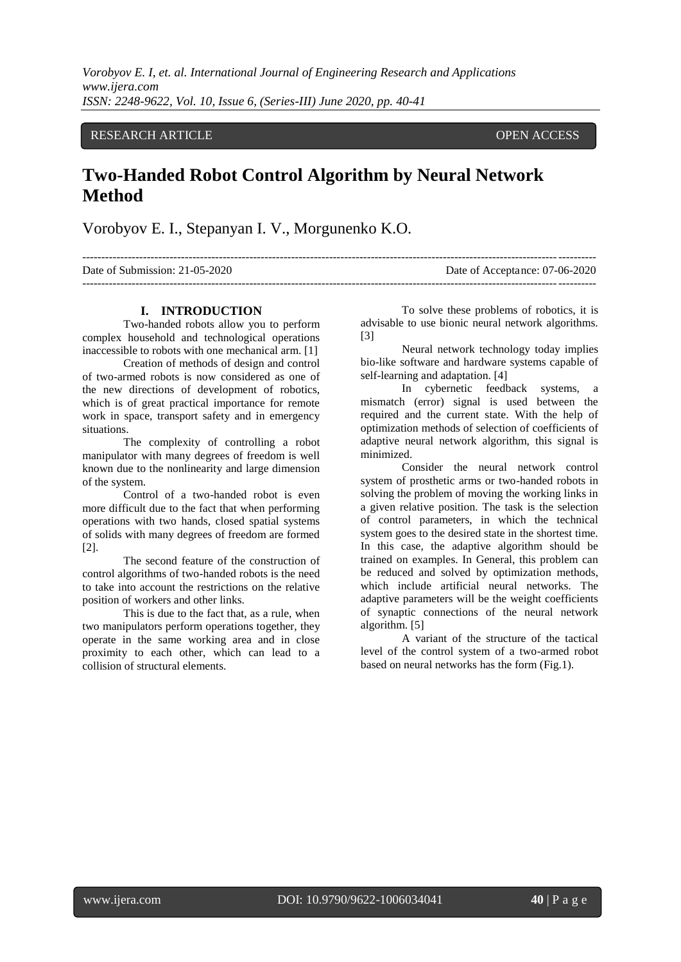*Vorobyov E. I, et. al. International Journal of Engineering Research and Applications www.ijera.com ISSN: 2248-9622, Vol. 10, Issue 6, (Series-III) June 2020, pp. 40-41*

## RESEARCH ARTICLE **OPEN ACCESS**

## **Two-Handed Robot Control Algorithm by Neural Network Method**

Vorobyov E. I., Stepanyan I. V., Morgunenko K.O.

| Date of Submission: $21-05-2020$ | Date of Acceptance: 07-06-2020 |
|----------------------------------|--------------------------------|
|                                  |                                |

## **I. INTRODUCTION**

Two-handed robots allow you to perform complex household and technological operations inaccessible to robots with one mechanical arm. [1]

Creation of methods of design and control of two-armed robots is now considered as one of the new directions of development of robotics, which is of great practical importance for remote work in space, transport safety and in emergency situations.

The complexity of controlling a robot manipulator with many degrees of freedom is well known due to the nonlinearity and large dimension of the system.

Control of a two-handed robot is even more difficult due to the fact that when performing operations with two hands, closed spatial systems of solids with many degrees of freedom are formed [2].

The second feature of the construction of control algorithms of two-handed robots is the need to take into account the restrictions on the relative position of workers and other links.

This is due to the fact that, as a rule, when two manipulators perform operations together, they operate in the same working area and in close proximity to each other, which can lead to a collision of structural elements.

To solve these problems of robotics, it is advisable to use bionic neural network algorithms. [3]

Neural network technology today implies bio-like software and hardware systems capable of self-learning and adaptation. [4]

In cybernetic feedback systems, a mismatch (error) signal is used between the required and the current state. With the help of optimization methods of selection of coefficients of adaptive neural network algorithm, this signal is minimized.

Consider the neural network control system of prosthetic arms or two-handed robots in solving the problem of moving the working links in a given relative position. The task is the selection of control parameters, in which the technical system goes to the desired state in the shortest time. In this case, the adaptive algorithm should be trained on examples. In General, this problem can be reduced and solved by optimization methods, which include artificial neural networks. The adaptive parameters will be the weight coefficients of synaptic connections of the neural network algorithm. [5]

A variant of the structure of the tactical level of the control system of a two-armed robot based on neural networks has the form (Fig.1).